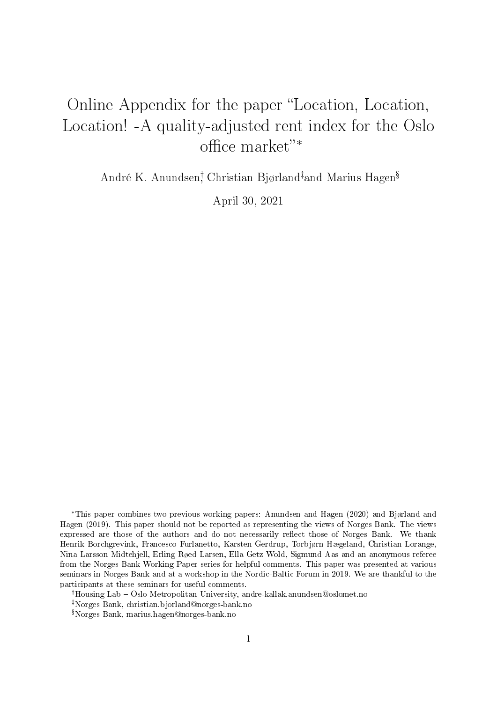## Online Appendix for the paper "Location, Location, Location! -A quality-adjusted rent index for the Oslo office market"<sup>\*</sup>

André K. Anundsen<sup>†</sup> Christian Bjørland<sup>‡</sup>and Marius Hagen<sup>§</sup>

April 30, 2021

<sup>∗</sup>This paper combines two previous working papers: Anundsen and Hagen (2020) and Bjørland and Hagen (2019). This paper should not be reported as representing the views of Norges Bank. The views expressed are those of the authors and do not necessarily reflect those of Norges Bank. We thank Henrik Borchgrevink, Francesco Furlanetto, Karsten Gerdrup, Torbjørn Hægeland, Christian Lorange, Nina Larsson Midtehjell, Erling Røed Larsen, Ella Getz Wold, Sigmund Aas and an anonymous referee from the Norges Bank Working Paper series for helpful comments. This paper was presented at various seminars in Norges Bank and at a workshop in the Nordic-Baltic Forum in 2019. We are thankful to the participants at these seminars for useful comments.

<sup>†</sup>Housing Lab Oslo Metropolitan University, andre-kallak.anundsen@oslomet.no

<sup>‡</sup>Norges Bank, christian.bjorland@norges-bank.no

Norges Bank, marius.hagen@norges-bank.no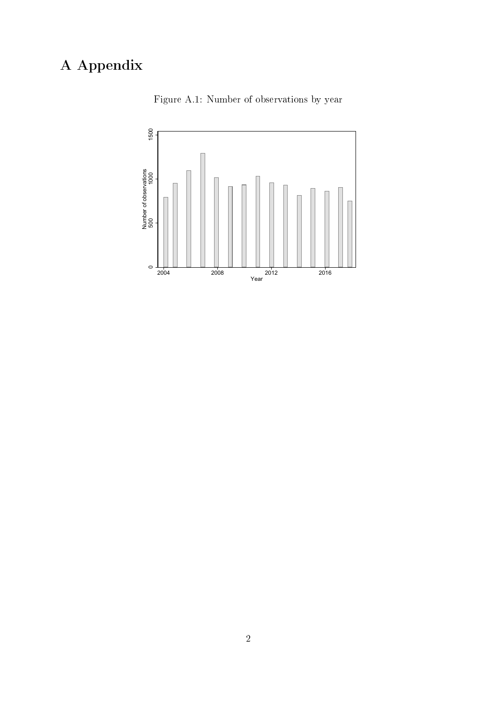## A Appendix



Figure A.1: Number of observations by year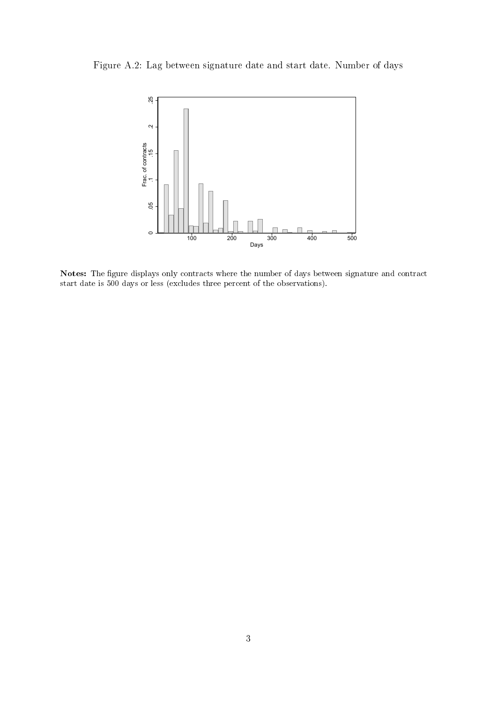Figure A.2: Lag between signature date and start date. Number of days



Notes: The figure displays only contracts where the number of days between signature and contract start date is 500 days or less (excludes three percent of the observations).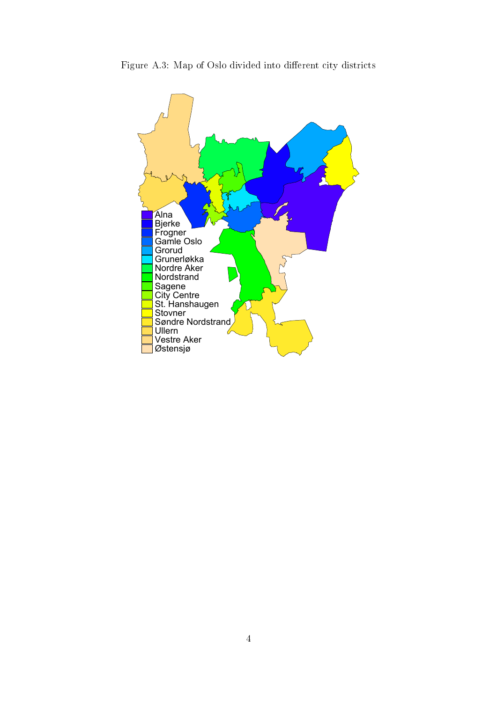

Figure A.3: Map of Oslo divided into different city districts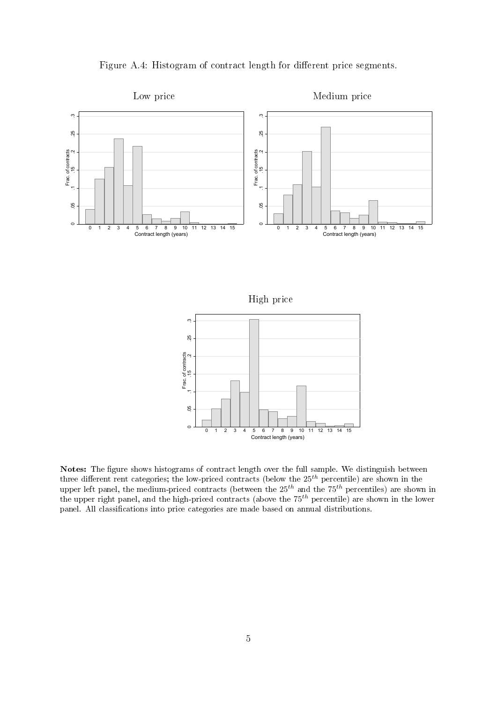



High price



Notes: The figure shows histograms of contract length over the full sample. We distinguish between three different rent categories; the low-priced contracts (below the  $25^{th}$  percentile) are shown in the upper left panel, the medium-priced contracts (between the  $25^{th}$  and the  $75^{th}$  percentiles) are shown in the upper right panel, and the high-priced contracts (above the  $75^{th}$  percentile) are shown in the lower panel. All classifications into price categories are made based on annual distributions.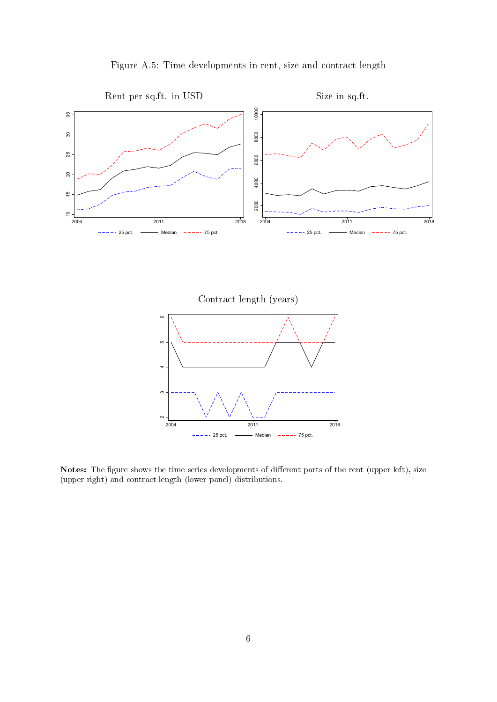



Contract length (years)



Notes: The figure shows the time series developments of different parts of the rent (upper left), size (upper right) and contract length (lower panel) distributions.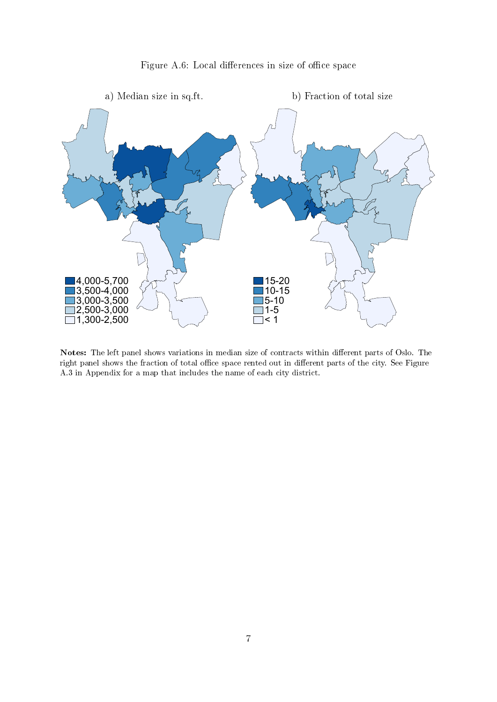



Notes: The left panel shows variations in median size of contracts within different parts of Oslo. The right panel shows the fraction of total office space rented out in different parts of the city. See Figure A.3 in Appendix for a map that includes the name of each city district.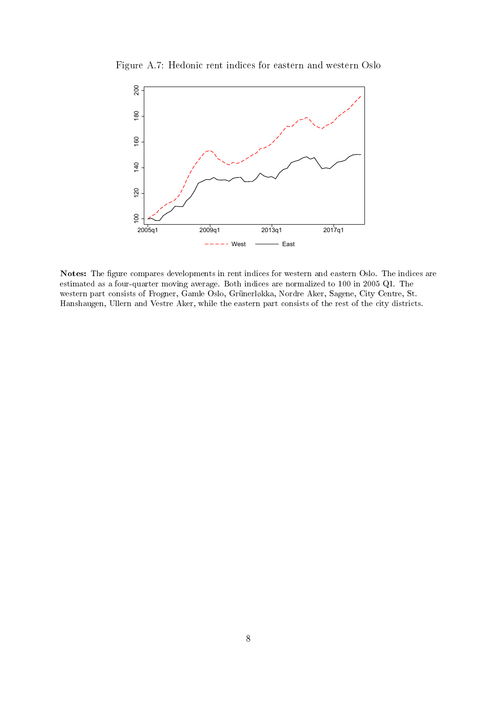

Figure A.7: Hedonic rent indices for eastern and western Oslo

Notes: The figure compares developments in rent indices for western and eastern Oslo. The indices are estimated as a four-quarter moving average. Both indices are normalized to 100 in 2005 Q1. The western part consists of Frogner, Gamle Oslo, Grünerløkka, Nordre Aker, Sagene, City Centre, St. Hanshaugen, Ullern and Vestre Aker, while the eastern part consists of the rest of the city districts.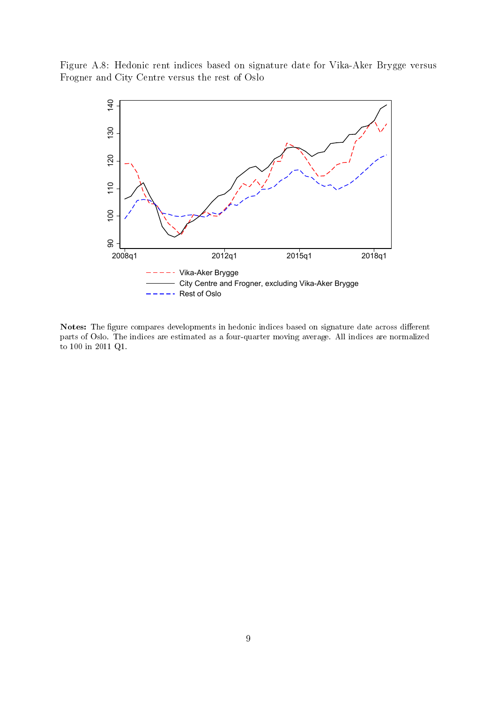Figure A.8: Hedonic rent indices based on signature date for Vika-Aker Brygge versus Frogner and City Centre versus the rest of Oslo



Notes: The figure compares developments in hedonic indices based on signature date across different parts of Oslo. The indices are estimated as a four-quarter moving average. All indices are normalized to 100 in 2011 Q1.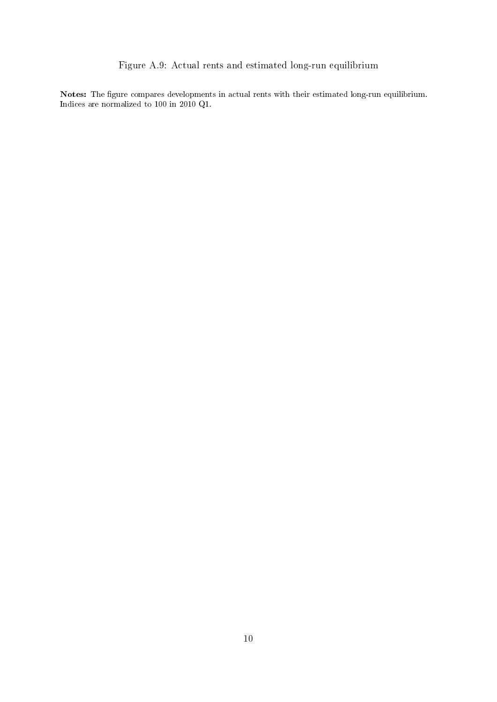## Figure A.9: Actual rents and estimated long-run equilibrium

Notes: The figure compares developments in actual rents with their estimated long-run equilibrium. Indices are normalized to 100 in 2010 Q1.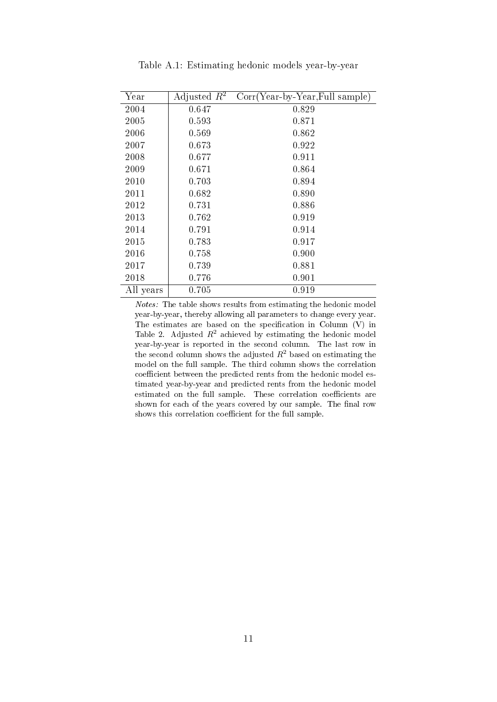| Year      | Adjusted $R^2$ | $Corr(Year-by-Year, Full sample)$ |
|-----------|----------------|-----------------------------------|
| 2004      | 0.647          | 0.829                             |
| 2005      | 0.593          | 0.871                             |
| 2006      | 0.569          | 0.862                             |
| 2007      | 0.673          | 0.922                             |
| 2008      | 0.677          | 0.911                             |
| 2009      | 0.671          | 0.864                             |
| 2010      | 0.703          | 0.894                             |
| 2011      | 0.682          | 0.890                             |
| 2012      | 0.731          | 0.886                             |
| 2013      | 0.762          | 0.919                             |
| 2014      | 0.791          | 0.914                             |
| 2015      | 0.783          | 0.917                             |
| 2016      | 0.758          | 0.900                             |
| 2017      | 0.739          | 0.881                             |
| 2018      | 0.776          | 0.901                             |
| All years | 0.705          | 0.919                             |

Table A.1: Estimating hedonic models year-by-year

Notes: The table shows results from estimating the hedonic model year-by-year, thereby allowing all parameters to change every year. The estimates are based on the specification in Column  $(V)$  in Table 2. Adjusted  $R^2$  achieved by estimating the hedonic model year-by-year is reported in the second column. The last row in the second column shows the adjusted  $R^2$  based on estimating the model on the full sample. The third column shows the correlation coefficient between the predicted rents from the hedonic model estimated year-by-year and predicted rents from the hedonic model estimated on the full sample. These correlation coefficients are shown for each of the years covered by our sample. The final row shows this correlation coefficient for the full sample.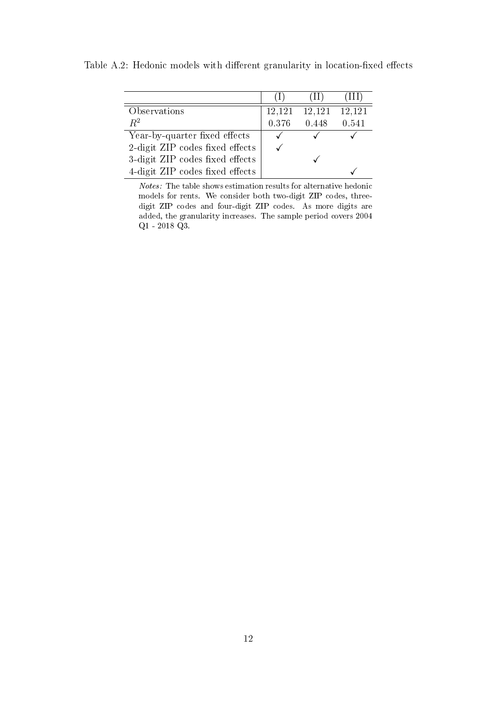|                                 |       | ( L L J       | (111)  |
|---------------------------------|-------|---------------|--------|
| Observations                    |       | 12,121 12,121 | 12,121 |
| $R^2$                           | 0.376 | 0.448         | 0.541  |
| Year-by-quarter fixed effects   |       |               |        |
| 2-digit ZIP codes fixed effects |       |               |        |
| 3-digit ZIP codes fixed effects |       |               |        |
| 4-digit ZIP codes fixed effects |       |               |        |

Table A.2: Hedonic models with different granularity in location-fixed effects

Notes: The table shows estimation results for alternative hedonic models for rents. We consider both two-digit ZIP codes, threedigit ZIP codes and four-digit ZIP codes. As more digits are added, the granularity increases. The sample period covers 2004  $\mathrm{Q1}$  -  $2018$   $\mathrm{Q3}.$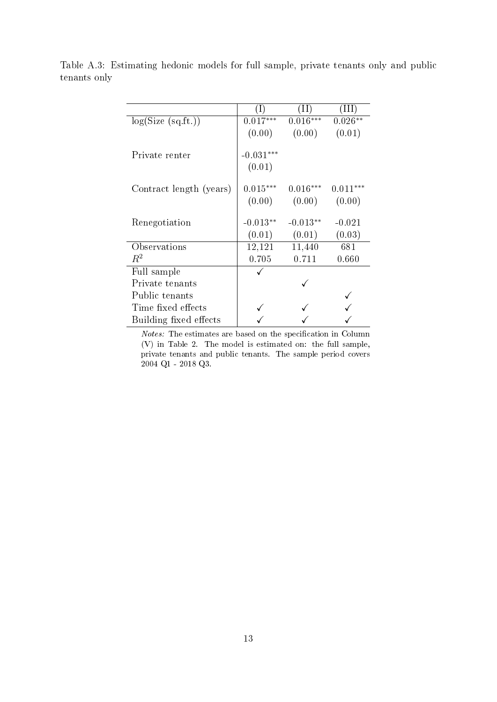| log(Size (sq.fit.))     | $0.017***$  | $0.016***$ | $0.026**$  |
|-------------------------|-------------|------------|------------|
|                         | (0.00)      | (0.00)     | (0.01)     |
|                         |             |            |            |
| Private renter          | $-0.031***$ |            |            |
|                         | (0.01)      |            |            |
|                         | $0.015***$  | $0.016***$ | $0.011***$ |
| Contract length (years) |             |            |            |
|                         | (0.00)      | (0.00)     | (0.00)     |
|                         |             |            |            |
| Renegotiation           | $-0.013**$  | $-0.013**$ | $-0.021$   |
|                         | (0.01)      | (0.01)     | (0.03)     |
| Observations            | 12,121      | 11,440     | 681        |
| $R^2$                   | 0.705       | 0.711      | 0.660      |
| Full sample             |             |            |            |
| Private tenants         |             |            |            |
| Public tenants          |             |            |            |
| Time fixed effects      |             |            |            |
| Building fixed effects  |             |            |            |

Table A.3: Estimating hedonic models for full sample, private tenants only and public tenants only

 $Notes:$  The estimates are based on the specification in Column (V) in Table 2. The model is estimated on: the full sample, private tenants and public tenants. The sample period covers 2004 Q1 - 2018 Q3.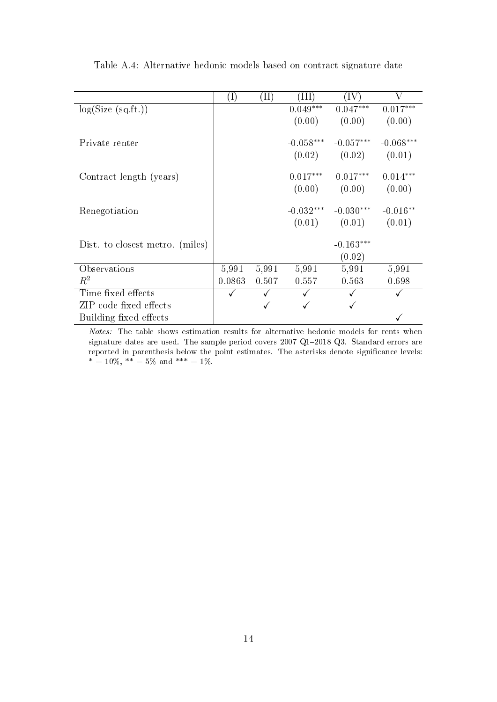|                                 | $(\mathrm{I})$ | $(\mathrm{II})$ | (III)       | (IV)        | V           |
|---------------------------------|----------------|-----------------|-------------|-------------|-------------|
| log(Size (sq.fit.))             |                |                 | $0.049***$  | $0.047***$  | $0.017***$  |
|                                 |                |                 | (0.00)      | (0.00)      | (0.00)      |
| Private renter                  |                |                 | $-0.058***$ | $-0.057***$ | $-0.068***$ |
|                                 |                |                 | (0.02)      | (0.02)      | (0.01)      |
| Contract length (years)         |                |                 | $0.017***$  | $0.017***$  | $0.014***$  |
|                                 |                |                 | (0.00)      | (0.00)      | (0.00)      |
| Renegotiation                   |                |                 | $-0.032***$ | $-0.030***$ | $-0.016**$  |
|                                 |                |                 | (0.01)      | (0.01)      | (0.01)      |
| Dist. to closest metro. (miles) |                |                 |             | $-0.163***$ |             |
|                                 |                |                 |             | (0.02)      |             |
| Observations                    | 5,991          | 5,991           | 5,991       | 5,991       | 5,991       |
| $R^2$                           | 0.0863         | 0.507           | 0.557       | 0.563       | 0.698       |
| Time fixed effects              |                |                 |             |             |             |
| ZIP code fixed effects          |                |                 |             |             |             |
| Building fixed effects          |                |                 |             |             |             |

Table A.4: Alternative hedonic models based on contract signature date

Notes: The table shows estimation results for alternative hedonic models for rents when signature dates are used. The sample period covers  $2007$  Q1- $2018$  Q3. Standard errors are reported in parenthesis below the point estimates. The asterisks denote signicance levels:  $* = 10\%, * = 5\%$  and  $*** = 1\%.$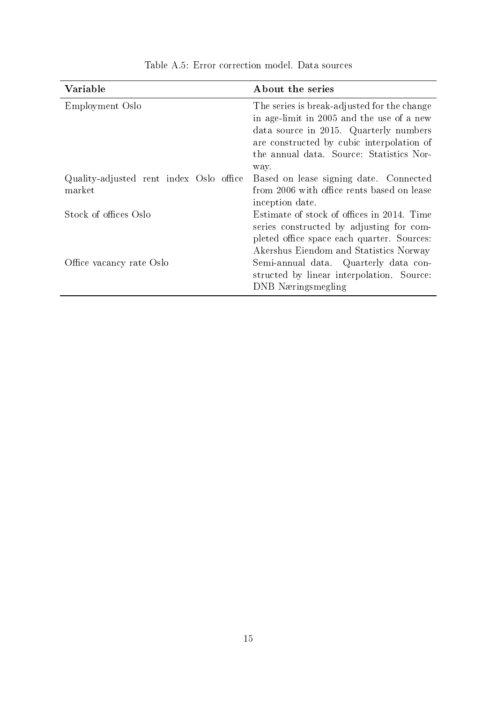| Variable                                          | About the series                                                                                                                                                                                                                    |
|---------------------------------------------------|-------------------------------------------------------------------------------------------------------------------------------------------------------------------------------------------------------------------------------------|
| Employment Oslo                                   | The series is break-adjusted for the change<br>in age-limit in 2005 and the use of a new<br>data source in 2015. Quarterly numbers<br>are constructed by cubic interpolation of<br>the annual data. Source: Statistics Nor-<br>way. |
| Quality-adjusted rent index Oslo office<br>market | Based on lease signing date. Connected<br>from 2006 with office rents based on lease<br>inception date.                                                                                                                             |
| Stock of offices Oslo                             | Estimate of stock of offices in 2014. Time<br>series constructed by adjusting for com-<br>pleted office space each quarter. Sources:<br>Akershus Eiendom and Statistics Norway                                                      |
| Office vacancy rate Oslo                          | Semi-annual data. Quarterly data con-<br>structed by linear interpolation. Source:<br>DNB Næringsmegling                                                                                                                            |

Table A.5: Error correction model. Data sources